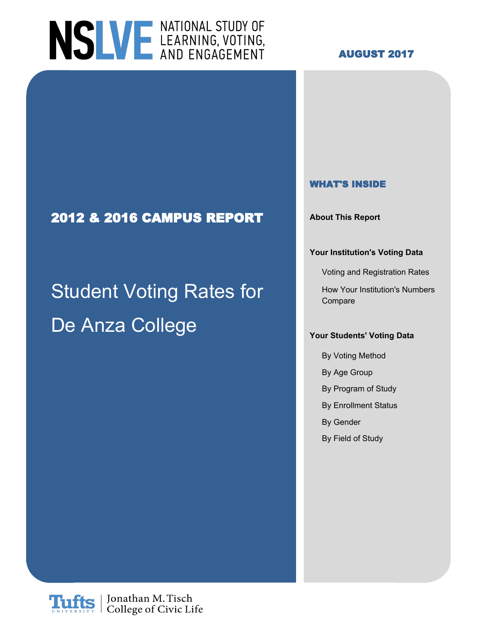

#### **AUGUST 2017**

#### **WHAT'S INSIDE**

**2012 & 2016 CAMPUS REPORT About This Report**

#### **Your Institution's Voting Data**

Voting and Registration Rates

Student Voting Rates for How Your Institution's Numbers Compare

## De Anza College **Your Students' Voting Data**

- By Voting Method By Age Group By Program of Study By Enrollment Status By Gender
- By Field of Study

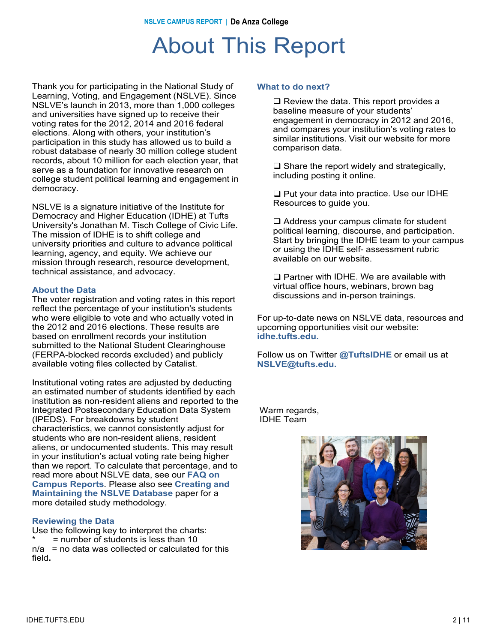### About This Report

Thank you for participating in the National Study of Learning, Voting, and Engagement (NSLVE). Since NSLVE's launch in 2013, more than 1,000 colleges and universities have signed up to receive their voting rates for the 2012, 2014 and 2016 federal elections. Along with others, your institution's participation in this study has allowed us to build a robust database of nearly 30 million college student records, about 10 million for each election year, that serve as a foundation for innovative research on college student political learning and engagement in democracy.

NSLVE is a signature initiative of the Institute for Democracy and Higher Education (IDHE) at Tufts University's Jonathan M. Tisch College of Civic Life. The mission of IDHE is to shift college and university priorities and culture to advance political learning, agency, and equity. We achieve our mission through research, resource development, technical assistance, and advocacy.

#### **About the Data**

The voter registration and voting rates in this report reflect the percentage of your institution's students who were eligible to vote and who actually voted in the 2012 and 2016 elections. These results are based on enrollment records your institution submitted to the National Student Clearinghouse (FERPA-blocked records excluded) and publicly available voting files collected by Catalist.

Institutional voting rates are adjusted by deducting an estimated number of students identified by each institution as non-resident aliens and reported to the Integrated Postsecondary Education Data System (IPEDS). For breakdowns by student characteristics, we cannot consistently adjust for students who are non-resident aliens, resident aliens, or undocumented students. This may result in your institution's actual voting rate being higher than we report. To calculate that percentage, and to read more about NSLVE data, see our **FAQ on Campus Reports**. Please also see **Creating and Maintaining the NSLVE Database** paper for a more detailed study methodology.

#### **Reviewing the Data**

Use the following key to interpret the charts:  $=$  number of students is less than 10  $n/a$  = no data was collected or calculated for this field**.**

#### **What to do next?**

 $\Box$  Review the data. This report provides a baseline measure of your students' engagement in democracy in 2012 and 2016, and compares your institution's voting rates to similar institutions. Visit our website for more comparison data.

 $\Box$  Share the report widely and strategically, including posting it online.

 $\Box$  Put your data into practice. Use our IDHE Resources to guide you.

 $\Box$  Address your campus climate for student political learning, discourse, and participation. Start by bringing the IDHE team to your campus or using the IDHE self- assessment rubric available on our website.

 $\square$  Partner with IDHE. We are available with virtual office hours, webinars, brown bag discussions and in-person trainings.

For up-to-date news on NSLVE data, resources and upcoming opportunities visit our website: **idhe.tufts.edu.**

Follow us on Twitter **@TuftsIDHE** or email us at **NSLVE@tufts.edu.**

Warm regards, IDHE Team

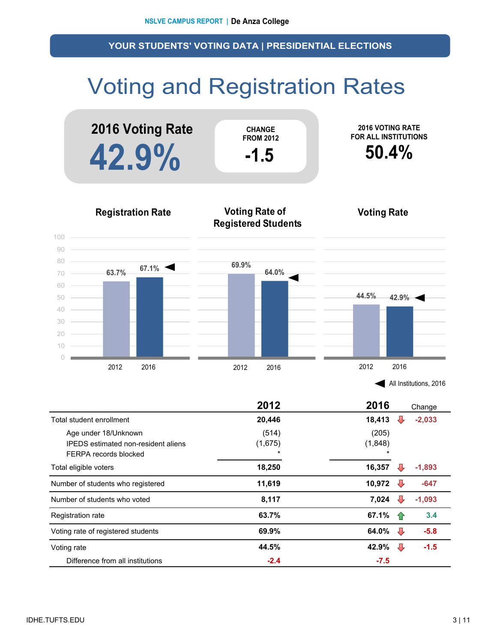# Voting and Registration Rates



| All Institutions, 2016 |  |
|------------------------|--|
|                        |  |

|                                                                    | 2012             | 2016             |     | Change   |
|--------------------------------------------------------------------|------------------|------------------|-----|----------|
| Total student enrollment                                           | 20,446           | 18,413           |     | $-2,033$ |
| Age under 18/Unknown<br><b>IPEDS</b> estimated non-resident aliens | (514)<br>(1,675) | (205)<br>(1,848) |     |          |
| FERPA records blocked                                              | $\star$          | $\star$          |     |          |
| Total eligible voters                                              | 18,250           | 16,357           |     | $-1,893$ |
| Number of students who registered                                  | 11,619           | 10,972           | ₩   | $-647$   |
| Number of students who voted                                       | 8,117            | 7,024            |     | $-1,093$ |
| Registration rate                                                  | 63.7%            | 67.1%            | -17 | 3.4      |
| Voting rate of registered students                                 | 69.9%            | 64.0%            | ₩   | $-5.8$   |
| Voting rate                                                        | 44.5%            | 42.9%            | ┺   | $-1.5$   |
| Difference from all institutions                                   | $-2.4$           | $-7.5$           |     |          |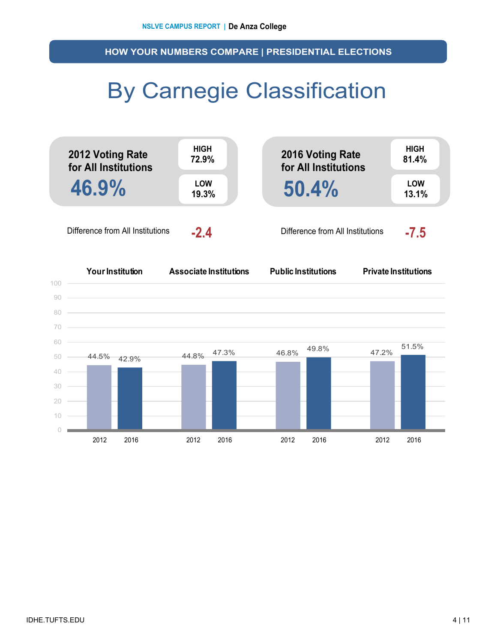**HOW YOUR NUMBERS COMPARE | PRESIDENTIAL ELECTIONS**

## By Carnegie Classification



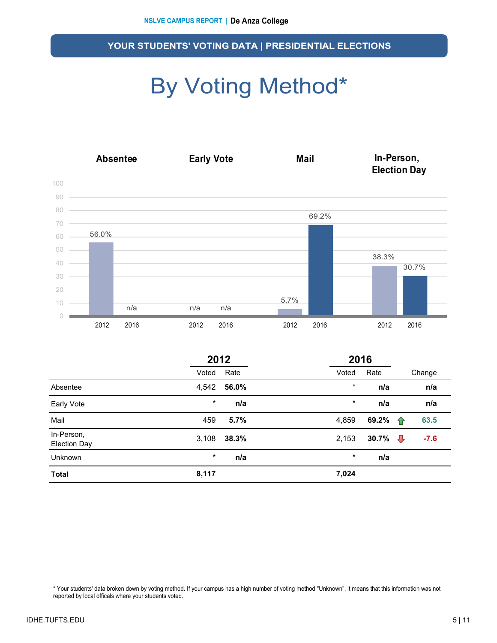# By Voting Method\*



|                                   |         | 2012  |       |         | 2016            |   |        |  |
|-----------------------------------|---------|-------|-------|---------|-----------------|---|--------|--|
|                                   | Voted   | Rate  | Voted |         | Rate            |   | Change |  |
| Absentee                          | 4,542   | 56.0% |       | $\star$ | n/a             |   | n/a    |  |
| Early Vote                        | $\star$ | n/a   |       | $\star$ | n/a             |   | n/a    |  |
| Mail                              | 459     | 5.7%  | 4,859 |         | 69.2%           | ⇑ | 63.5   |  |
| In-Person,<br><b>Election Day</b> | 3,108   | 38.3% | 2,153 |         | 30.7% $\bigcup$ |   | $-7.6$ |  |
| <b>Unknown</b>                    | $\star$ | n/a   |       | $\star$ | n/a             |   |        |  |
| <b>Total</b>                      | 8,117   |       | 7,024 |         |                 |   |        |  |

\* Your students' data broken down by voting method. If your campus has a high number of voting method "Unknown", it means that this information was not reported by local officals where your students voted.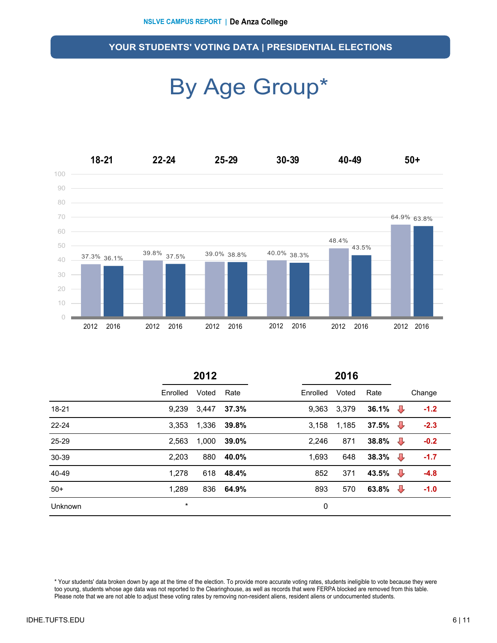### By Age Group\*



|           | 2012     |       |       | 2016     |       |                  |                |        |
|-----------|----------|-------|-------|----------|-------|------------------|----------------|--------|
|           | Enrolled | Voted | Rate  | Enrolled | Voted | Rate             |                | Change |
| $18 - 21$ | 9,239    | 3,447 | 37.3% | 9,363    | 3,379 | 36.1% $\bigcup$  |                | $-1.2$ |
| $22 - 24$ | 3.353    | 1,336 | 39.8% | 3.158    | 1,185 | 37.5% $\sqrt{ }$ |                | $-2.3$ |
| 25-29     | 2,563    | 1,000 | 39.0% | 2,246    | 871   | 38.8% $\bigcup$  |                | $-0.2$ |
| 30-39     | 2,203    | 880   | 40.0% | 1,693    | 648   | 38.3% $\sqrt{ }$ |                | $-1.7$ |
| 40-49     | 1,278    | 618   | 48.4% | 852      | 371   | 43.5%            | $\overline{v}$ | $-4.8$ |
| $50+$     | 1,289    | 836   | 64.9% | 893      | 570   | 63.8%            | ⊕              | $-1.0$ |
| Unknown   | $\star$  |       |       | 0        |       |                  |                |        |

\* Your students' data broken down by age at the time of the election. To provide more accurate voting rates, students ineligible to vote because they were too young, students whose age data was not reported to the Clearinghouse, as well as records that were FERPA blocked are removed from this table. Please note that we are not able to adjust these voting rates by removing non-resident aliens, resident aliens or undocumented students.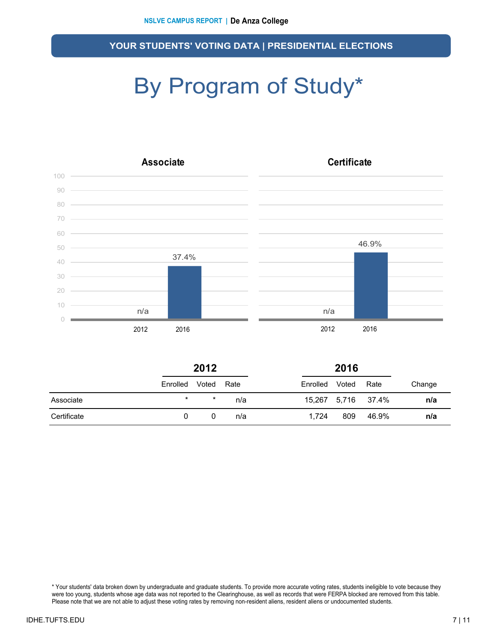# By Program of Study\*



|             | 2012     |         |      | 2016     |       |                    |        |  |  |
|-------------|----------|---------|------|----------|-------|--------------------|--------|--|--|
|             | Enrolled | Voted   | Rate | Enrolled | Voted | Rate               | Change |  |  |
| Associate   | $\star$  | $\star$ | n/a  |          |       | 15,267 5,716 37.4% | n/a    |  |  |
| Certificate | 0        |         | n/a  | 1.724    | 809   | 46.9%              | n/a    |  |  |

\* Your students' data broken down by undergraduate and graduate students. To provide more accurate voting rates, students ineligible to vote because they were too young, students whose age data was not reported to the Clearinghouse, as well as records that were FERPA blocked are removed from this table. Please note that we are not able to adjust these voting rates by removing non-resident aliens, resident aliens or undocumented students.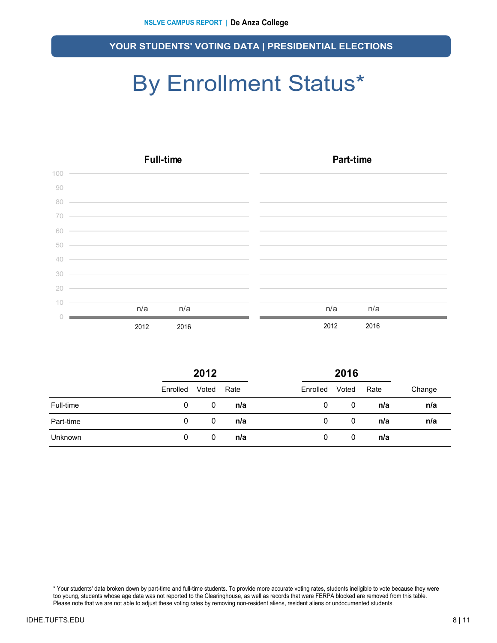# By Enrollment Status\*

|     | <b>Full-time</b>                                                                                                       | Part-time    |
|-----|------------------------------------------------------------------------------------------------------------------------|--------------|
| 100 | <u> Alexandro de la contrada de la contrada de la contrada de la contrada de la contrada de la contrada de la co</u>   |              |
| 90  | <u> 1989 - Andrea Santa Andrea Andrea Andrea Andrea Andrea Andrea Andrea Andrea Andrea Andrea Andrea Andrea Andr</u>   |              |
| 80  | <u> 1989 - Johann Stoff, deutscher Stoffen und der Stoffen und der Stoffen und der Stoffen und der Stoffen und der</u> |              |
| 70  |                                                                                                                        |              |
| 60  | <u> 1999 - Jan Barbara de Santo de Santo de Santo de Santo de Santo de Santo de Santo de Santo de Santo de Santo </u>  |              |
| 50  | <u> 1999 - Jan Barat, margaret eta idazlearen 1992</u>                                                                 |              |
| 40  | <u> 1989 - Johann Stoff, deutscher Stoff, der Stoff, der Stoff, der Stoff, der Stoff, der Stoff, der Stoff, der S</u>  |              |
| 30  | <u> 1989 - Johann Stoff, amerikansk politiker (d. 1989)</u>                                                            |              |
| 20  | and the control of the control of the control of the control of the control of the control of the control of the       |              |
| 10  | n/a<br>n/a                                                                                                             | n/a<br>n/a   |
|     |                                                                                                                        |              |
|     | 2012<br>2016                                                                                                           | 2012<br>2016 |

|           | 2012     |       |      |          | 2016  |      |        |
|-----------|----------|-------|------|----------|-------|------|--------|
|           | Enrolled | Voted | Rate | Enrolled | Voted | Rate | Change |
| Full-time | 0        | 0     | n/a  | 0        | 0     | n/a  | n/a    |
| Part-time | 0        | 0     | n/a  | 0        | 0     | n/a  | n/a    |
| Unknown   | 0        | 0     | n/a  | 0        | 0     | n/a  |        |

\* Your students' data broken down by part-time and full-time students. To provide more accurate voting rates, students ineligible to vote because they were too young, students whose age data was not reported to the Clearinghouse, as well as records that were FERPA blocked are removed from this table. Please note that we are not able to adjust these voting rates by removing non-resident aliens, resident aliens or undocumented students.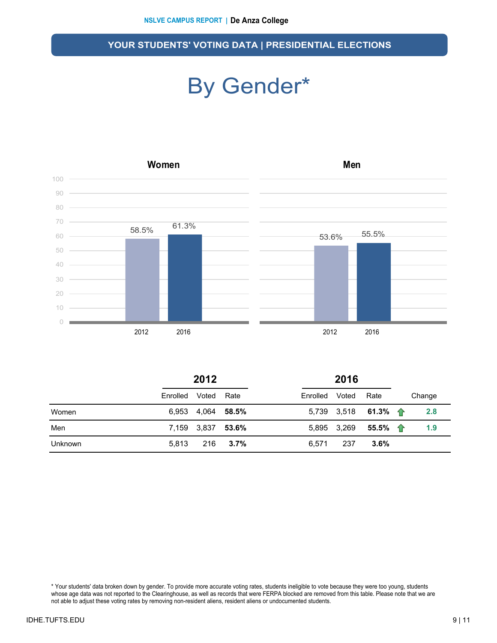### By Gender\*



|  | 201 |  |
|--|-----|--|

**2012 2016**

|         | -----          |                   |         | ----           |             |                              |        |
|---------|----------------|-------------------|---------|----------------|-------------|------------------------------|--------|
|         | Enrolled Voted |                   | Rate    | Enrolled Voted |             | Rate                         | Change |
| Women   |                | 6,953 4,064 58.5% |         |                |             | 5,739 3,518 61.3% $\uparrow$ | 2.8    |
| Men     |                | 7,159 3,837 53.6% |         |                | 5,895 3,269 | 55.5% 一个                     | 1.9    |
| Unknown | 5.813          | 216               | $3.7\%$ | 6.571          | 237         | $3.6\%$                      |        |

\* Your students' data broken down by gender. To provide more accurate voting rates, students ineligible to vote because they were too young, students whose age data was not reported to the Clearinghouse, as well as records that were FERPA blocked are removed from this table. Please note that we are not able to adjust these voting rates by removing non-resident aliens, resident aliens or undocumented students.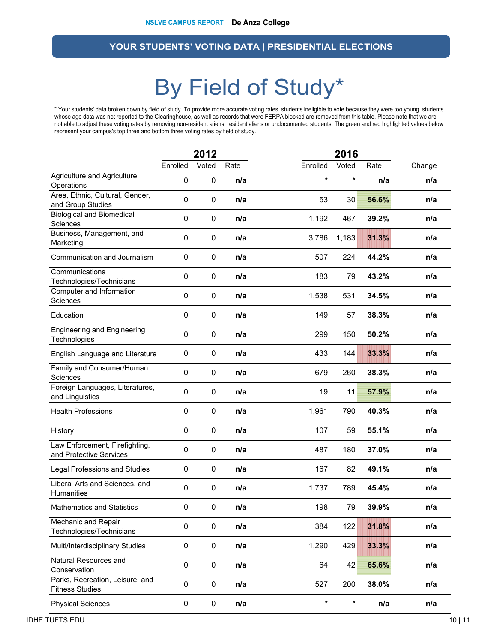### By Field of Study\*

\* Your students' data broken down by field of study. To provide more accurate voting rates, students ineligible to vote because they were too young, students whose age data was not reported to the Clearinghouse, as well as records that were FERPA blocked are removed from this table. Please note that we are not able to adjust these voting rates by removing non-resident aliens, resident aliens or undocumented students. The green and red highlighted values below represent your campus's top three and bottom three voting rates by field of study.

|                                                           |                  | 2012      |      |          | 2016    |       |        |
|-----------------------------------------------------------|------------------|-----------|------|----------|---------|-------|--------|
|                                                           | Enrolled         | Voted     | Rate | Enrolled | Voted   | Rate  | Change |
| Agriculture and Agriculture<br>Operations                 | 0                | $\pmb{0}$ | n/a  | $\star$  | $\star$ | n/a   | n/a    |
| Area, Ethnic, Cultural, Gender,<br>and Group Studies      | 0                | 0         | n/a  | 53       | 30      | 56.6% | n/a    |
| <b>Biological and Biomedical</b><br>Sciences              | $\mathbf 0$      | $\pmb{0}$ | n/a  | 1,192    | 467     | 39.2% | n/a    |
| Business, Management, and<br>Marketing                    | $\boldsymbol{0}$ | $\pmb{0}$ | n/a  | 3,786    | 1,183   | 31.3% | n/a    |
| Communication and Journalism                              | 0                | 0         | n/a  | 507      | 224     | 44.2% | n/a    |
| Communications<br>Technologies/Technicians                | 0                | 0         | n/a  | 183      | 79      | 43.2% | n/a    |
| Computer and Information<br>Sciences                      | 0                | 0         | n/a  | 1,538    | 531     | 34.5% | n/a    |
| Education                                                 | 0                | 0         | n/a  | 149      | 57      | 38.3% | n/a    |
| <b>Engineering and Engineering</b><br>Technologies        | 0                | 0         | n/a  | 299      | 150     | 50.2% | n/a    |
| English Language and Literature                           | 0                | $\pmb{0}$ | n/a  | 433      | 144     | 33.3% | n/a    |
| Family and Consumer/Human<br><b>Sciences</b>              | $\mathbf 0$      | $\pmb{0}$ | n/a  | 679      | 260     | 38.3% | n/a    |
| Foreign Languages, Literatures,<br>and Linguistics        | $\mathbf 0$      | $\pmb{0}$ | n/a  | 19       | 11      | 57.9% | n/a    |
| <b>Health Professions</b>                                 | $\mathbf 0$      | $\pmb{0}$ | n/a  | 1,961    | 790     | 40.3% | n/a    |
| History                                                   | $\mathbf 0$      | $\pmb{0}$ | n/a  | 107      | 59      | 55.1% | n/a    |
| Law Enforcement, Firefighting,<br>and Protective Services | $\mathbf 0$      | $\pmb{0}$ | n/a  | 487      | 180     | 37.0% | n/a    |
| <b>Legal Professions and Studies</b>                      | 0                | $\pmb{0}$ | n/a  | 167      | 82      | 49.1% | n/a    |
| Liberal Arts and Sciences, and<br>Humanities              | $\boldsymbol{0}$ | $\pmb{0}$ | n/a  | 1,737    | 789     | 45.4% | n/a    |
| <b>Mathematics and Statistics</b>                         | 0                | 0         | n/a  | 198      | 79      | 39.9% | n/a    |
| Mechanic and Repair<br>Technologies/Technicians           | $\pmb{0}$        | $\pmb{0}$ | n/a  | 384      | 122     | 31.8% | n/a    |
| Multi/Interdisciplinary Studies                           | $\pmb{0}$        | $\pmb{0}$ | n/a  | 1,290    | 429     | 33.3% | n/a    |
| Natural Resources and<br>Conservation                     | $\pmb{0}$        | $\pmb{0}$ | n/a  | 64       | 42      | 65.6% | n/a    |
| Parks, Recreation, Leisure, and<br><b>Fitness Studies</b> | $\pmb{0}$        | $\pmb{0}$ | n/a  | 527      | 200     | 38.0% | n/a    |
| <b>Physical Sciences</b>                                  | $\mathbf 0$      | 0         | n/a  | $\star$  | $\star$ | n/a   | n/a    |